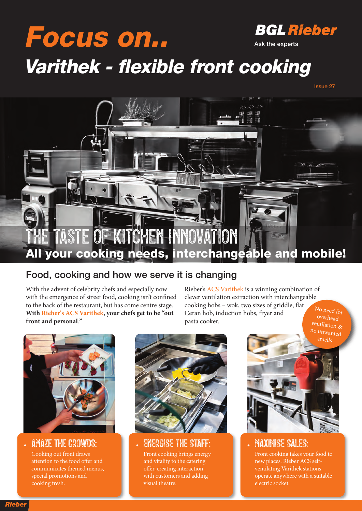### **BGL Rieber Focus on.. Ask the experts Varithek - flexible front cooking**





#### **Food, cooking and how we serve it is changing**

With the advent of celebrity chefs and especially now with the emergence of street food, cooking isn't confined to the back of the restaurant, but has come centre stage. **With Rieber's ACS Varithek, your chefs get to be "out front and personal**.**"**

Rieber's ACS Varithek is a winning combination of clever ventilation extraction with interchangeable cooking hobs – wok, two sizes of griddle, flat Ceran hob, induction hobs, fryer and pasta cooker. No need for overhead



• AMAZE THE CROWDS: Cooking out front draws attention to the food offer and communicates themed menus, special promotions and cooking fresh.



• ENERGISE THE STAFF:

Front cooking brings energy and vitality to the catering offer, creating interaction with customers and adding visual theatre.



#### **MAXIMISE SALES:**

Front cooking takes your food to new places. Rieber ACS selfventilating Varithek stations operate anywhere with a suitable electric socket.